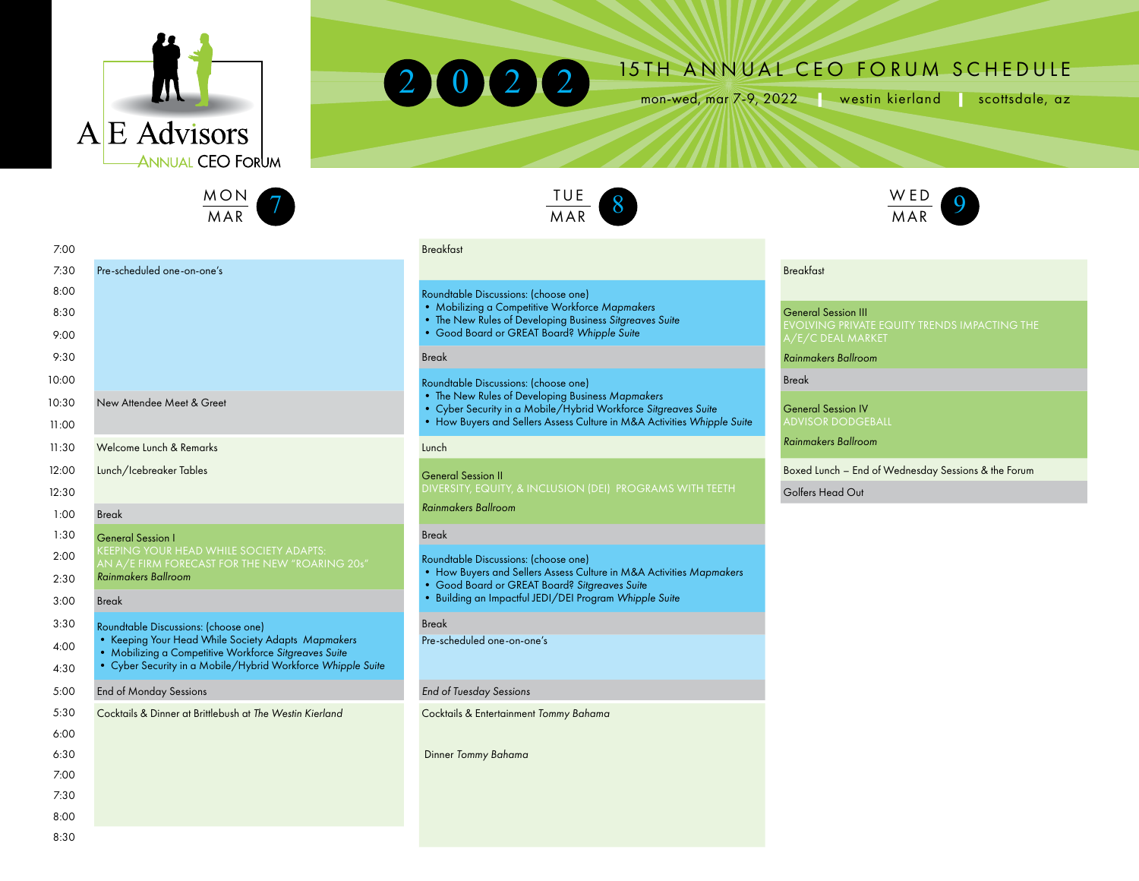





2022 15TH ANNUAL CEO FORUM SCHEDULE



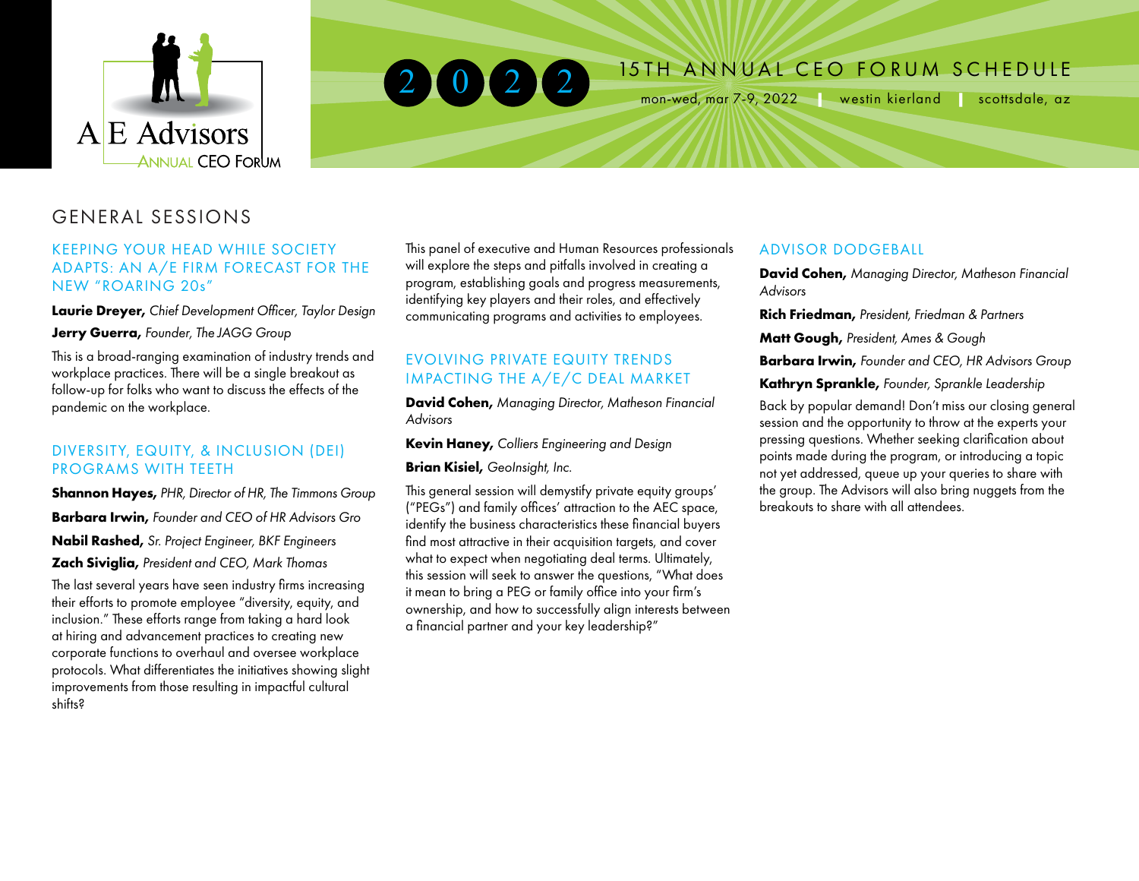



# 2 0 2 2 <sup>15TH</sup> ANNUAL CEO FORUM SCHEDULE

mon-wed, mar 7-9, 2022 **|** westin kierland **|** scottsdale, az

# GENERAL SESSIONS

#### KEEPING YOUR HEAD WHILE SOCIETY ADAPTS: AN A/E FIRM FORECAST FOR THE NEW "ROARING 20s"  $\mathbf{S}$ : 00

**Laurie Dreyer,** *Chief Development Officer, Taylor Design* 8: 30

**Jerry Guerra,** *Founder, The JAGG Group* 9: 00

This is a broad-ranging examination of industry trends and mis is a broad ranging examination or massiry nerias a<br>workplace practices. There will be a single breakout as follow-up for folks who want to discuss the effects of the pandemic on the workplace.

#### DIVERSITY, EQUITY, & INCLUSION (DEI) PROGRAMS WITH TEETH

**Shannon Hayes,** *PHR, Director of HR, The Timmons Group*  12: 30 THE NEW NEUROSCIENCE OF REACHING

**Barbara Irwin,** *Founder and CEO of HR Advisors Gro* 1: 00  $\sqrt{250}$   $\sqrt{10}$   $\sqrt{1}$ 

**Nabil Rashed,** *Sr. Project Engineer, BKF Engineers*  1: 30 Break **Zach Siviglia,** President and CEO, Mark Thomas

The last several years have seen industry firms increasing  $\frac{m}{t}$ their efforts to promote employee "diversity, equity, and inclusion." These efforts range from taking a hard look at hiring and advancement practices to creating new corporate functions to overhaul and oversee workplace protocols. What differentiates the initiatives showing slight protocols. What allielentiales the imitatives showing stight<br>improvements from those resulting in impactful cultural shifts? re employee aiversity, equity, and  $_{\text{ow}}$ 

This panel of executive and Human Resources professionals will explore the steps and pitfalls involved in creating a E FIRM FURECAST FUR THE THE MILE PROGRIM PORTON INTERNATION INTERNATIONAL PROGRAM PROGRAM PROGRAM PROGRAM PROGRAM<br>
Program, establishing goals and progress measurements, Advisors<br>
identifying key players and their roles an identifying key players and their roles, and effectively communicating programs and activities to employees.

### EVOLVING PRIVATE EQUITY TRENDS IMPACTING THE  $A/E/C$  DEAL MARKET

**David Cohen,** Managing Director, Matheson Financial *Advisors*

**Kevin Haney,** Colliers Engineering and Design **•y,** Colliers Engineering and Design

**Brian Kisiel,** GeoInsight, Inc.

This general session will demystify private equity groups' Lunch ma general certer can example, processed programs and family offices' attraction to the AEC space, The state is all the business characteristics these financial buyers dentity the business characteristics these financial buyers find most attractive in their acquisition targets, and cover mia most amachye in men acquisinon largers, and cover<br>what to expect when negotiating deal terms. Ultimately, this session will seek to answer the questions, "What does ins session will seek to driswer the questions, writing a<br>if mean to bring a PEG or family office into your firm's ownership, and how to successfully align interests between a financial partner and your key leadership?" usiness characteristics these financial buyers **ing a PEG or family office info your firm's**  $\sim$ 

#### ADVISOR DODGEBALL

**David Cohen,** *Managing Director, Matheson Financial Advisors* 

**Rich Friedman,** President, Friedman & Partners

**Matt Gough,** President, Ames & Gough **• Gougn,** President, Ames & Gougn

**Barbara Irwin,** Founder and CEO, HR Advisors Group **•** Knowledge Management **•**

**Kathryn Sprankle,** *Founder, Sprankle Leadership* Break

Back by popular demand! Don't miss our closing general session and the opportunity to throw at the experts your pressing questions. Whether seeking clarification about processing queensite in the metal countries determined a topic points made during the program, or introducing a topic not yet addressed, queue up your queries to share with nor yet addressed, queue up your quenes to share will<br>the group. The Advisors will also bring nuggets from the breakouts to share with all attendees.